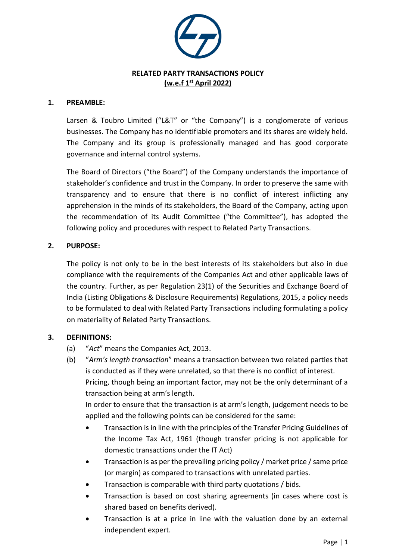

#### **1. PREAMBLE:**

Larsen & Toubro Limited ("L&T" or "the Company") is a conglomerate of various businesses. The Company has no identifiable promoters and its shares are widely held. The Company and its group is professionally managed and has good corporate governance and internal control systems.

The Board of Directors ("the Board") of the Company understands the importance of stakeholder's confidence and trust in the Company. In order to preserve the same with transparency and to ensure that there is no conflict of interest inflicting any apprehension in the minds of its stakeholders, the Board of the Company, acting upon the recommendation of its Audit Committee ("the Committee"), has adopted the following policy and procedures with respect to Related Party Transactions.

### **2. PURPOSE:**

The policy is not only to be in the best interests of its stakeholders but also in due compliance with the requirements of the Companies Act and other applicable laws of the country. Further, as per Regulation 23(1) of the Securities and Exchange Board of India (Listing Obligations & Disclosure Requirements) Regulations, 2015, a policy needs to be formulated to deal with Related Party Transactions including formulating a policy on materiality of Related Party Transactions.

# **3. DEFINITIONS:**

- (a) "*Act*" means the Companies Act, 2013.
- (b) "*Arm's length transaction*" means a transaction between two related parties that is conducted as if they were unrelated, so that there is no conflict of interest. Pricing, though being an important factor, may not be the only determinant of a transaction being at arm's length.

In order to ensure that the transaction is at arm's length, judgement needs to be applied and the following points can be considered for the same:

- Transaction is in line with the principles of the Transfer Pricing Guidelines of the Income Tax Act, 1961 (though transfer pricing is not applicable for domestic transactions under the IT Act)
- Transaction is as per the prevailing pricing policy / market price / same price (or margin) as compared to transactions with unrelated parties.
- Transaction is comparable with third party quotations / bids.
- Transaction is based on cost sharing agreements (in cases where cost is shared based on benefits derived).
- Transaction is at a price in line with the valuation done by an external independent expert.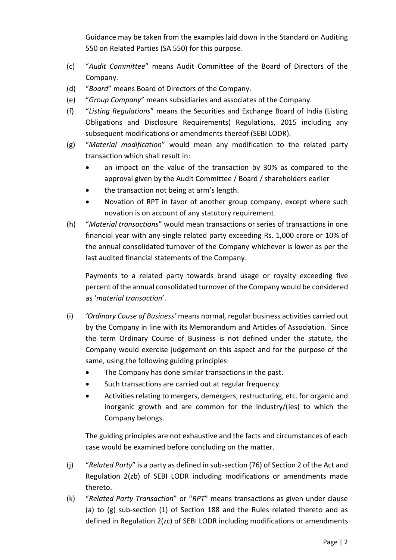Guidance may be taken from the examples laid down in the Standard on Auditing 550 on Related Parties (SA 550) for this purpose.

- (c) "*Audit Committee*" means Audit Committee of the Board of Directors of the Company.
- (d) "*Board*" means Board of Directors of the Company.
- (e) "*Group Company*" means subsidiaries and associates of the Company.
- (f) "*Listing Regulations*" means the Securities and Exchange Board of India (Listing Obligations and Disclosure Requirements) Regulations, 2015 including any subsequent modifications or amendments thereof (SEBI LODR).
- (g) "*Material modification*" would mean any modification to the related party transaction which shall result in:
	- an impact on the value of the transaction by 30% as compared to the approval given by the Audit Committee / Board / shareholders earlier
	- the transaction not being at arm's length.
	- Novation of RPT in favor of another group company, except where such novation is on account of any statutory requirement.
- (h) "*Material transactions*" would mean transactions or series of transactions in one financial year with any single related party exceeding Rs. 1,000 crore or 10% of the annual consolidated turnover of the Company whichever is lower as per the last audited financial statements of the Company.

Payments to a related party towards brand usage or royalty exceeding five percent of the annual consolidated turnover of the Company would be considered as '*material transaction*'.

- (i) *'Ordinary Couse of Business'* means normal, regular business activities carried out by the Company in line with its Memorandum and Articles of Association. Since the term Ordinary Course of Business is not defined under the statute, the Company would exercise judgement on this aspect and for the purpose of the same, using the following guiding principles:
	- The Company has done similar transactions in the past.
	- Such transactions are carried out at regular frequency.
	- Activities relating to mergers, demergers, restructuring, etc. for organic and inorganic growth and are common for the industry/(ies) to which the Company belongs.

The guiding principles are not exhaustive and the facts and circumstances of each case would be examined before concluding on the matter.

- (j) "*Related Party*" is a party as defined in sub-section (76) of Section 2 of the Act and Regulation 2(zb) of SEBI LODR including modifications or amendments made thereto.
- (k) "*Related Party Transaction*" or "*RPT*" means transactions as given under clause (a) to (g) sub-section (1) of Section 188 and the Rules related thereto and as defined in Regulation 2(zc) of SEBI LODR including modifications or amendments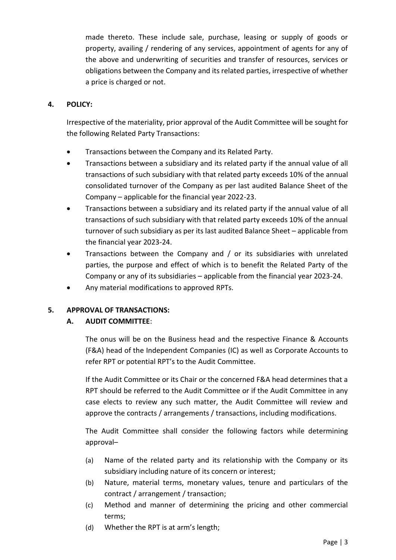made thereto. These include sale, purchase, leasing or supply of goods or property, availing / rendering of any services, appointment of agents for any of the above and underwriting of securities and transfer of resources, services or obligations between the Company and its related parties, irrespective of whether a price is charged or not.

## **4. POLICY:**

Irrespective of the materiality, prior approval of the Audit Committee will be sought for the following Related Party Transactions:

- Transactions between the Company and its Related Party.
- Transactions between a subsidiary and its related party if the annual value of all transactions of such subsidiary with that related party exceeds 10% of the annual consolidated turnover of the Company as per last audited Balance Sheet of the Company – applicable for the financial year 2022-23.
- Transactions between a subsidiary and its related party if the annual value of all transactions of such subsidiary with that related party exceeds 10% of the annual turnover of such subsidiary as per its last audited Balance Sheet – applicable from the financial year 2023-24.
- Transactions between the Company and / or its subsidiaries with unrelated parties, the purpose and effect of which is to benefit the Related Party of the Company or any of its subsidiaries – applicable from the financial year 2023-24.
- Any material modifications to approved RPTs.

### **5. APPROVAL OF TRANSACTIONS:**

### **A. AUDIT COMMITTEE**:

The onus will be on the Business head and the respective Finance & Accounts (F&A) head of the Independent Companies (IC) as well as Corporate Accounts to refer RPT or potential RPT's to the Audit Committee.

If the Audit Committee or its Chair or the concerned F&A head determines that a RPT should be referred to the Audit Committee or if the Audit Committee in any case elects to review any such matter, the Audit Committee will review and approve the contracts / arrangements / transactions, including modifications.

The Audit Committee shall consider the following factors while determining approval–

- (a) Name of the related party and its relationship with the Company or its subsidiary including nature of its concern or interest;
- (b) Nature, material terms, monetary values, tenure and particulars of the contract / arrangement / transaction;
- (c) Method and manner of determining the pricing and other commercial terms;
- (d) Whether the RPT is at arm's length;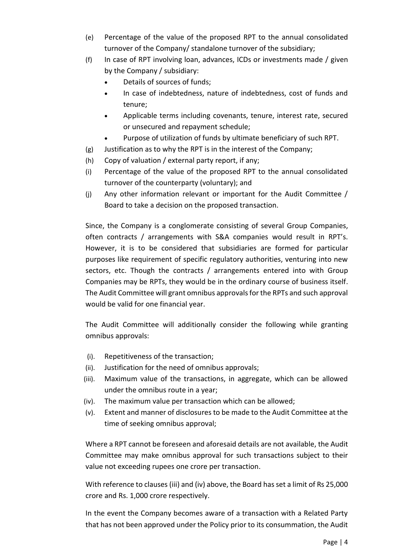- (e) Percentage of the value of the proposed RPT to the annual consolidated turnover of the Company/ standalone turnover of the subsidiary;
- (f) In case of RPT involving loan, advances, ICDs or investments made / given by the Company / subsidiary:
	- Details of sources of funds;
	- In case of indebtedness, nature of indebtedness, cost of funds and tenure;
	- Applicable terms including covenants, tenure, interest rate, secured or unsecured and repayment schedule;
	- Purpose of utilization of funds by ultimate beneficiary of such RPT.
- (g) Justification as to why the RPT is in the interest of the Company;
- (h) Copy of valuation / external party report, if any;
- (i) Percentage of the value of the proposed RPT to the annual consolidated turnover of the counterparty (voluntary); and
- (j) Any other information relevant or important for the Audit Committee / Board to take a decision on the proposed transaction.

Since, the Company is a conglomerate consisting of several Group Companies, often contracts / arrangements with S&A companies would result in RPT's. However, it is to be considered that subsidiaries are formed for particular purposes like requirement of specific regulatory authorities, venturing into new sectors, etc. Though the contracts / arrangements entered into with Group Companies may be RPTs, they would be in the ordinary course of business itself. The Audit Committee will grant omnibus approvals for the RPTs and such approval would be valid for one financial year.

The Audit Committee will additionally consider the following while granting omnibus approvals:

- (i). Repetitiveness of the transaction;
- (ii). Justification for the need of omnibus approvals;
- (iii). Maximum value of the transactions, in aggregate, which can be allowed under the omnibus route in a year;
- (iv). The maximum value per transaction which can be allowed;
- (v). Extent and manner of disclosures to be made to the Audit Committee at the time of seeking omnibus approval;

Where a RPT cannot be foreseen and aforesaid details are not available, the Audit Committee may make omnibus approval for such transactions subject to their value not exceeding rupees one crore per transaction.

With reference to clauses (iii) and (iv) above, the Board has set a limit of Rs 25,000 crore and Rs. 1,000 crore respectively.

In the event the Company becomes aware of a transaction with a Related Party that has not been approved under the Policy prior to its consummation, the Audit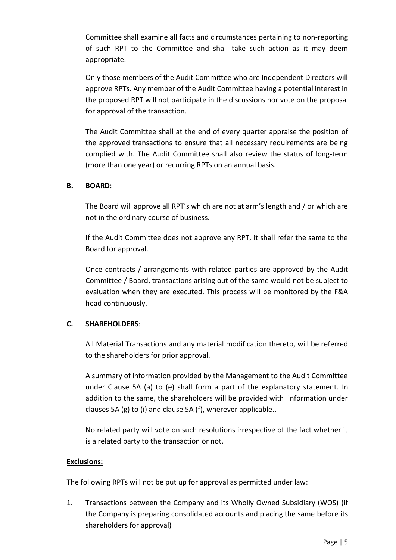Committee shall examine all facts and circumstances pertaining to non-reporting of such RPT to the Committee and shall take such action as it may deem appropriate.

Only those members of the Audit Committee who are Independent Directors will approve RPTs. Any member of the Audit Committee having a potential interest in the proposed RPT will not participate in the discussions nor vote on the proposal for approval of the transaction.

The Audit Committee shall at the end of every quarter appraise the position of the approved transactions to ensure that all necessary requirements are being complied with. The Audit Committee shall also review the status of long-term (more than one year) or recurring RPTs on an annual basis.

### **B. BOARD**:

The Board will approve all RPT's which are not at arm's length and / or which are not in the ordinary course of business.

If the Audit Committee does not approve any RPT, it shall refer the same to the Board for approval.

Once contracts / arrangements with related parties are approved by the Audit Committee / Board, transactions arising out of the same would not be subject to evaluation when they are executed. This process will be monitored by the F&A head continuously.

### **C. SHAREHOLDERS**:

All Material Transactions and any material modification thereto, will be referred to the shareholders for prior approval.

A summary of information provided by the Management to the Audit Committee under Clause 5A (a) to (e) shall form a part of the explanatory statement. In addition to the same, the shareholders will be provided with information under clauses 5A (g) to (i) and clause 5A (f), wherever applicable..

No related party will vote on such resolutions irrespective of the fact whether it is a related party to the transaction or not.

#### **Exclusions:**

The following RPTs will not be put up for approval as permitted under law:

1. Transactions between the Company and its Wholly Owned Subsidiary (WOS) (if the Company is preparing consolidated accounts and placing the same before its shareholders for approval)